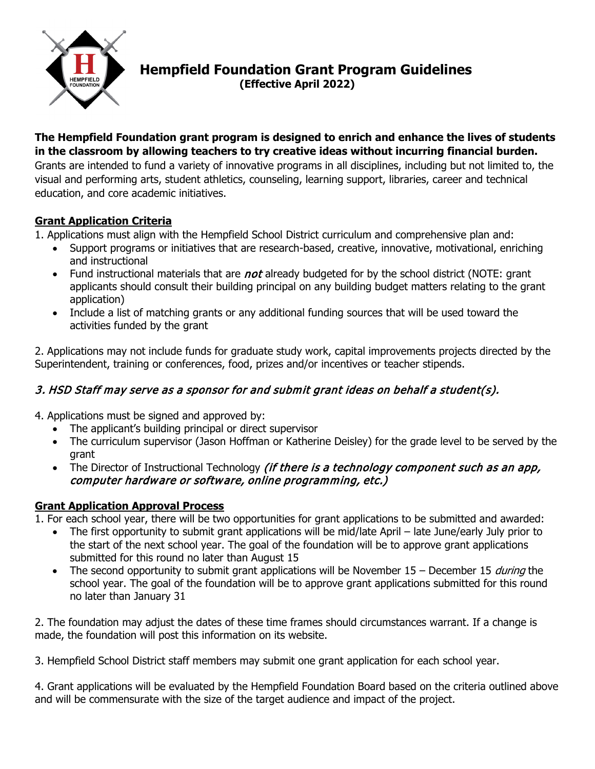

### **Hempfield Foundation Grant Program Guidelines (Effective April 2022)**

#### **The Hempfield Foundation grant program is designed to enrich and enhance the lives of students in the classroom by allowing teachers to try creative ideas without incurring financial burden.**

Grants are intended to fund a variety of innovative programs in all disciplines, including but not limited to, the visual and performing arts, student athletics, counseling, learning support, libraries, career and technical education, and core academic initiatives.

#### **Grant Application Criteria**

1. Applications must align with the Hempfield School District curriculum and comprehensive plan and:

- Support programs or initiatives that are research-based, creative, innovative, motivational, enriching and instructional
- Fund instructional materials that are *not* already budgeted for by the school district (NOTE: grant applicants should consult their building principal on any building budget matters relating to the grant application)
- Include a list of matching grants or any additional funding sources that will be used toward the activities funded by the grant

2. Applications may not include funds for graduate study work, capital improvements projects directed by the Superintendent, training or conferences, food, prizes and/or incentives or teacher stipends.

#### 3. HSD Staff may serve as a sponsor for and submit grant ideas on behalf a student(s).

4. Applications must be signed and approved by:

- The applicant's building principal or direct supervisor
- The curriculum supervisor (Jason Hoffman or Katherine Deisley) for the grade level to be served by the grant
- The Director of Instructional Technology *(if there is a technology component such as an app,* computer hardware or software, online programming, etc.)

#### **Grant Application Approval Process**

1. For each school year, there will be two opportunities for grant applications to be submitted and awarded:

- The first opportunity to submit grant applications will be mid/late April late June/early July prior to the start of the next school year. The goal of the foundation will be to approve grant applications submitted for this round no later than August 15
- The second opportunity to submit grant applications will be November  $15$  December 15 *during* the school year. The goal of the foundation will be to approve grant applications submitted for this round no later than January 31

2. The foundation may adjust the dates of these time frames should circumstances warrant. If a change is made, the foundation will post this information on its website.

3. Hempfield School District staff members may submit one grant application for each school year.

4. Grant applications will be evaluated by the Hempfield Foundation Board based on the criteria outlined above and will be commensurate with the size of the target audience and impact of the project.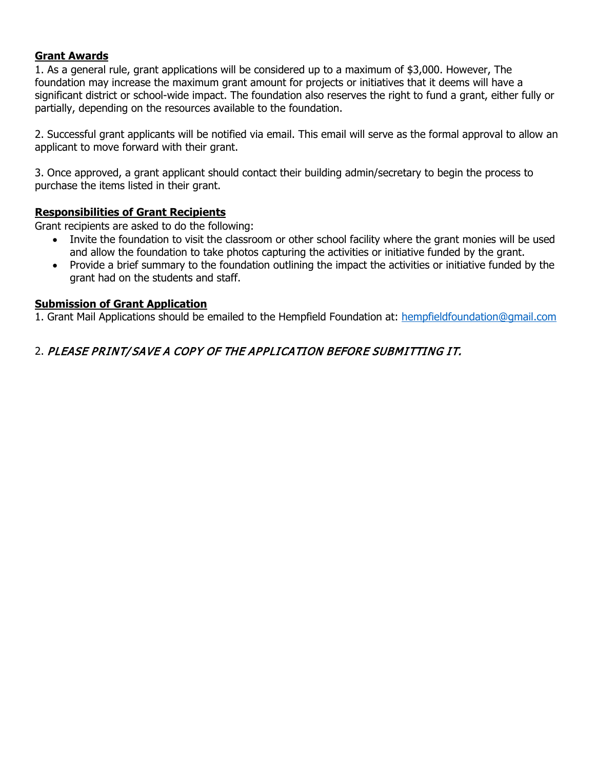#### **Grant Awards**

1. As a general rule, grant applications will be considered up to a maximum of \$3,000. However, The foundation may increase the maximum grant amount for projects or initiatives that it deems will have a significant district or school-wide impact. The foundation also reserves the right to fund a grant, either fully or partially, depending on the resources available to the foundation.

2. Successful grant applicants will be notified via email. This email will serve as the formal approval to allow an applicant to move forward with their grant.

3. Once approved, a grant applicant should contact their building admin/secretary to begin the process to purchase the items listed in their grant.

#### **Responsibilities of Grant Recipients**

Grant recipients are asked to do the following:

- Invite the foundation to visit the classroom or other school facility where the grant monies will be used and allow the foundation to take photos capturing the activities or initiative funded by the grant.
- Provide a brief summary to the foundation outlining the impact the activities or initiative funded by the grant had on the students and staff.

#### **Submission of Grant Application**

1. Grant Mail Applications should be emailed to the Hempfield Foundation at: [hempfieldfoundation@gmail.com](mailto:hempfieldfoundation@gmail.com)

#### 2. PLEASE PRINT/ SAVE A COPY OF THE APPLICATION BEFORE SUBMITTING IT.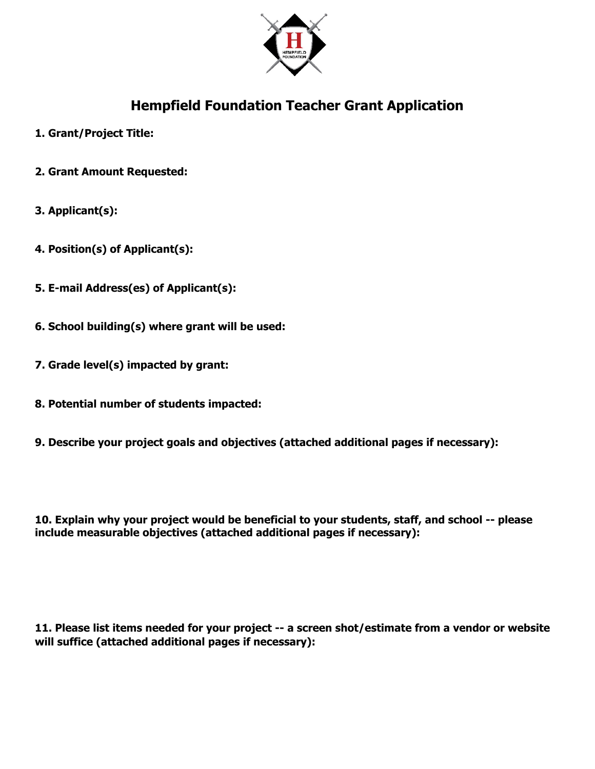

### **Hempfield Foundation Teacher Grant Application**

- **1. Grant/Project Title:**
- **2. Grant Amount Requested:**
- **3. Applicant(s):**
- **4. Position(s) of Applicant(s):**
- **5. E-mail Address(es) of Applicant(s):**
- **6. School building(s) where grant will be used:**
- **7. Grade level(s) impacted by grant:**
- **8. Potential number of students impacted:**
- **9. Describe your project goals and objectives (attached additional pages if necessary):**

**10. Explain why your project would be beneficial to your students, staff, and school -- please include measurable objectives (attached additional pages if necessary):**

**11. Please list items needed for your project -- a screen shot/estimate from a vendor or website will suffice (attached additional pages if necessary):**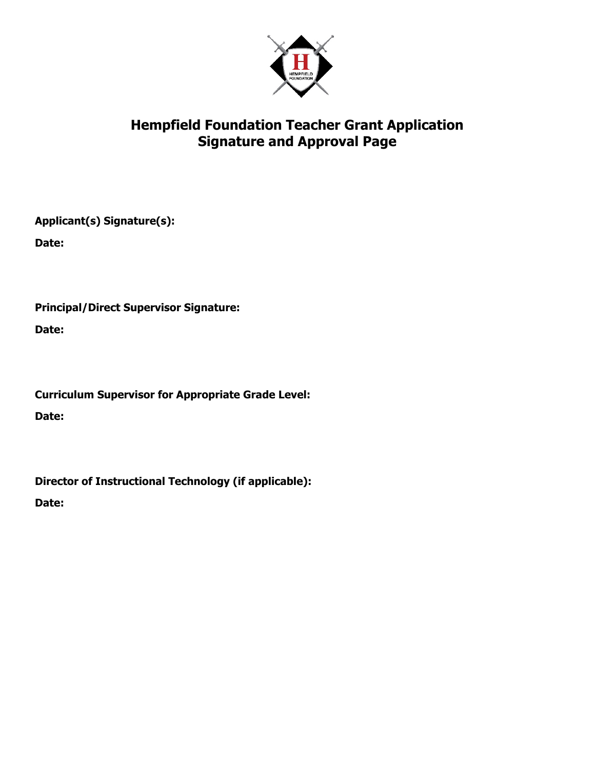

### **Hempfield Foundation Teacher Grant Application Signature and Approval Page**

**Applicant(s) Signature(s):**

**Date:**

**Principal/Direct Supervisor Signature:**

**Date:**

**Curriculum Supervisor for Appropriate Grade Level: Date:**

**Director of Instructional Technology (if applicable):**

**Date:**